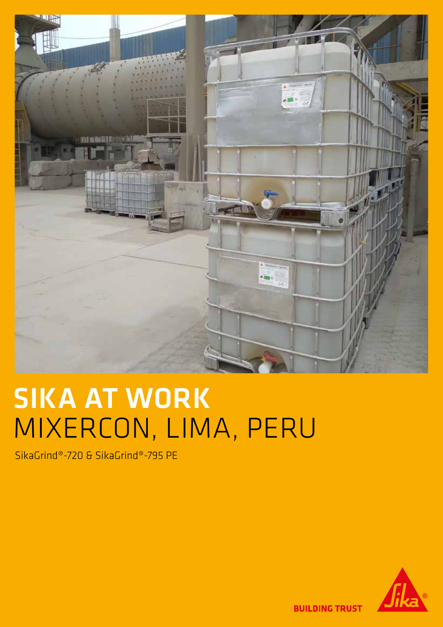

# SIKA AT WORK MIXERCON, LIMA, PERU

SikaGrind®-720 & SikaGrind®-795 PE



**BUILDING TRUST**